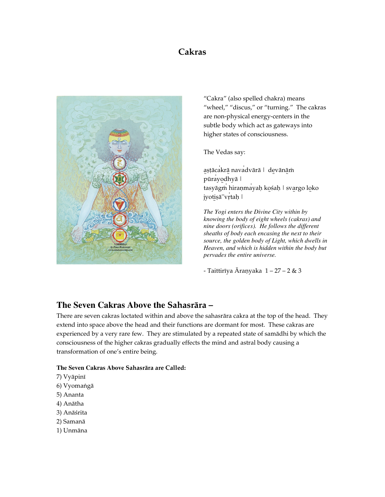# Cakras



"Cakra" (also spelled chakra) means "wheel," "discus," or "turning." The cakras are non-physical energy-centers in the subtle body which act as gateways into higher states of consciousness.

The Vedas say:

astācakrā navadvārā | devānām pūrayodhyā | tasyāgm hiraņmayaḥ kośaḥ | svargo loko jyotișā"vrtah |

*The Yogi enters the Divine City within by knowing the body of eight wheels (cakras) and nine doors (orifices). He follows the different sheaths of body each encasing the next to their source, the golden body of Light, which dwells in Heaven, and which is hidden within the body but pervades the entire universe.* 

- Taittirīya Āraņyaka  $1 - 27 - 2$  & 3

# **The Seven Cakras Above the** Sahasrära –

There are seven cakras loctated within and above the sahasrära cakra at the top of the head. They extend into space above the head and their functions are dormant for most. These cakras are experienced by a very rare few. They are stimulated by a repeated state of samädhi by which the consciousness of the higher cakras gradually effects the mind and astral body causing a transformation of one's entire being.

## **The Seven Cakras Above** Sahasrära are Called:

- 7) Vyäpiné
- 6) Vyomangā
- 5) Ananta
- 4) Anätha
- 3) Anäçrita
- 2) Samanä
- 1) Unmäna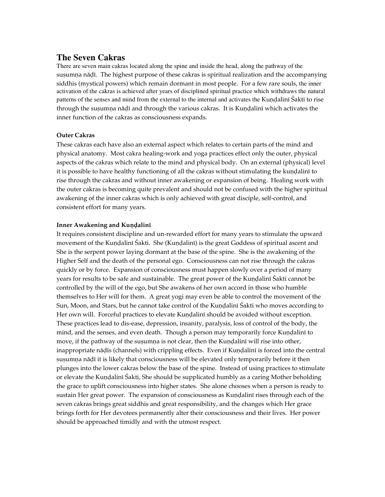## **The Seven Cakras**

There are seven main cakras located along the spine and inside the head, along the pathway of the sușumna nāḍī. The highest purpose of these cakras is spiritual realization and the accompanying siddhis (mystical powers) which remain dormant in most people. For a few rare souls, the inner activation of the cakras is achieved after years of disciplined spiritual practice which withdraws the natural patterns of the senses and mind from the external to the internal and activates the Kundalini Sakti to rise through the susumna nāḍī and through the various cakras. It is Kunḍalinī which activates the inner function of the cakras as consciousness expands.

### Outer Cakras

These cakras each have also an external aspect which relates to certain parts of the mind and physical anatomy. Most cakra healing-work and yoga practices effect only the outer, physical aspects of the cakras which relate to the mind and physical body. On an external (physical) level it is possible to have healthy functioning of all the cakras without stimulating the kundalini to rise through the cakras and without inner awakening or expansion of being. Healing work with the outer cakras is becoming quite prevalent and should not be confused with the higher spiritual awakening of the inner cakras which is only achieved with great disciple, self-control, and consistent effort for many years.

### Inner Awakening and Kundalini

It requires consistent discipline and un-rewarded effort for many years to stimulate the upward movement of the Kundalini Šakti. She (Kundalini) is the great Goddess of spiritual ascent and She is the serpent power laying dormant at the base of the spine. She is the awakening of the Higher Self and the death of the personal ego. Consciousness can not rise through the cakras quickly or by force. Expansion of consciousness must happen slowly over a period of many years for results to be safe and sustainable. The great power of the Kundalini Śakti cannot be controlled by the will of the ego, but She awakens of her own accord in those who humble themselves to Her will for them. A great yogi may even be able to control the movement of the Sun, Moon, and Stars, but he cannot take control of the Kuṇḍalinī Śakti who moves according to Her own will. Forceful practices to elevate Kundalini should be avoided without exception. These practices lead to dis-ease, depression, insanity, paralysis, loss of control of the body, the mind, and the senses, and even death. Though a person may temporarily force Kundalini to move, if the pathway of the sușumna is not clear, then the Kundalini will rise into other, inappropriate nāḍīs (channels) with crippling effects. Even if Kuṇḍalinī is forced into the central sușumņa nāḍī it is likely that consciousness will be elevated only temporarily before it then plunges into the lower cakras below the base of the spine. Instead of using practices to stimulate or elevate the Kundalini Sakti, She should be supplicated humbly as a caring Mother beholding the grace to uplift consciousness into higher states. She alone chooses when a person is ready to sustain Her great power. The expansion of consciousness as Kundalini rises through each of the seven cakras brings great siddhis and great responsibility, and the changes which Her grace brings forth for Her devotees permanently alter their consciousness and their lives. Her power should be approached timidly and with the utmost respect.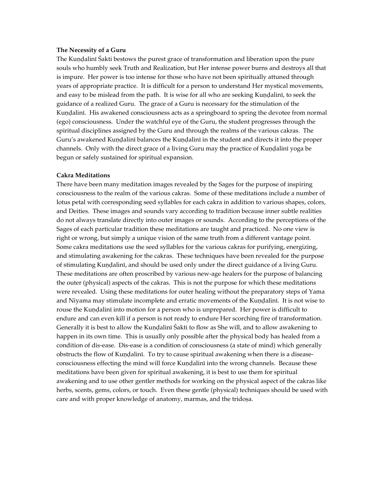### The Necessity of a Guru

The Kundalini Sakti bestows the purest grace of transformation and liberation upon the pure souls who humbly seek Truth and Realization, but Her intense power burns and destroys all that is impure. Her power is too intense for those who have not been spiritually attuned through years of appropriate practice. It is difficult for a person to understand Her mystical movements, and easy to be mislead from the path. It is wise for all who are seeking Kundalini, to seek the guidance of a realized Guru. The grace of a Guru is necessary for the stimulation of the Kundalini. His awakened consciousness acts as a springboard to spring the devotee from normal (ego) consciousness. Under the watchful eye of the Guru, the student progresses through the spiritual disciplines assigned by the Guru and through the realms of the various cakras. The Guru's awakened Kundalinī balances the Kundalinī in the student and directs it into the proper channels. Only with the direct grace of a living Guru may the practice of Kundalini yoga be begun or safely sustained for spiritual expansion.

#### Cakra Meditations

There have been many meditation images revealed by the Sages for the purpose of inspiring consciousness to the realm of the various cakras. Some of these meditations include a number of lotus petal with corresponding seed syllables for each cakra in addition to various shapes, colors, and Deities. These images and sounds vary according to tradition because inner subtle realities do not always translate directly into outer images or sounds. According to the perceptions of the Sages of each particular tradition these meditations are taught and practiced. No one view is right or wrong, but simply a unique vision of the same truth from a different vantage point. Some cakra meditations use the seed syllables for the various cakras for purifying, energizing, and stimulating awakening for the cakras. These techniques have been revealed for the purpose of stimulating Kundalini, and should be used only under the direct guidance of a living Guru. These meditations are often proscribed by various new-age healers for the purpose of balancing the outer (physical) aspects of the cakras. This is not the purpose for which these meditations were revealed. Using these meditations for outer healing without the preparatory steps of Yama and Niyama may stimulate incomplete and erratic movements of the Kundalini. It is not wise to rouse the Kundalini into motion for a person who is unprepared. Her power is difficult to endure and can even kill if a person is not ready to endure Her scorching fire of transformation. Generally it is best to allow the Kundalini Śakti to flow as She will, and to allow awakening to happen in its own time. This is usually only possible after the physical body has healed from a condition of dis-ease. Dis-ease is a condition of consciousness (a state of mind) which generally obstructs the flow of Kundalini. To try to cause spiritual awakening when there is a diseaseconsciousness effecting the mind will force Kundalini into the wrong channels. Because these meditations have been given for spiritual awakening, it is best to use them for spiritual awakening and to use other gentler methods for working on the physical aspect of the cakras like herbs, scents, gems, colors, or touch. Even these gentle (physical) techniques should be used with care and with proper knowledge of anatomy, marmas, and the tridosa.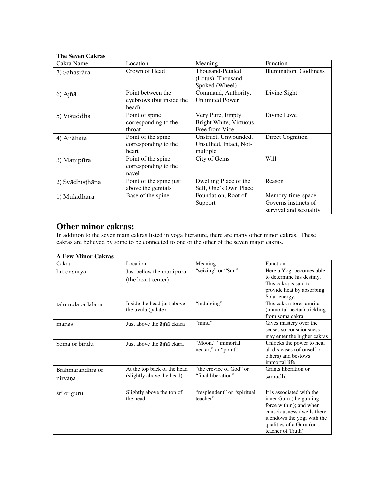## **The Seven Cakras**

| Cakra Name         | Location                 | Meaning                 | Function                |
|--------------------|--------------------------|-------------------------|-------------------------|
| 7) Sahasrāra       | Crown of Head            | Thousand-Petaled        | Illumination, Godliness |
|                    |                          | (Lotus), Thousand       |                         |
|                    |                          | Spoked (Wheel)          |                         |
| $6)$ $\bar{A}$ jñā | Point between the        | Command, Authority,     | Divine Sight            |
|                    | eyebrows (but inside the | <b>Unlimited Power</b>  |                         |
|                    | head)                    |                         |                         |
| 5) Viśuddha        | Point of spine           | Very Pure, Empty,       | Divine Love             |
|                    | corresponding to the     | Bright White, Virtuous, |                         |
|                    | throat                   | Free from Vice          |                         |
| 4) Anāhata         | Point of the spine       | Unstruct, Unwounded,    | <b>Direct Cognition</b> |
|                    | corresponding to the     | Unsullied, Intact, Not- |                         |
|                    | heart                    | multiple                |                         |
| 3) Manipūra        | Point of the spine       | City of Gems            | Will                    |
|                    | corresponding to the     |                         |                         |
|                    | navel                    |                         |                         |
| 2) Svādhisthāna    | Point of the spine just  | Dwelling Place of the   | Reason                  |
|                    | above the genitals       | Self, One's Own Place   |                         |
| 1) Mūlādhāra       | Base of the spine        | Foundation, Root of     | Memory-time-space -     |
|                    |                          | Support                 | Governs instincts of    |
|                    |                          |                         | survival and sexuality  |

## **Other minor cakras:**

In addition to the seven main cakras listed in yoga literature, there are many other minor cakras. These cakras are believed by some to be connected to one or the other of the seven major cakras.

## **A Few Minor Cakras**

| Cakra                       | Location                                                 | Meaning                                       | Function                                                                                                                                                                                     |
|-----------------------------|----------------------------------------------------------|-----------------------------------------------|----------------------------------------------------------------------------------------------------------------------------------------------------------------------------------------------|
| hrt or sūrya                | Just bellow the manipura<br>(the heart center)           | "seizing" or "Sun"                            | Here a Yogi becomes able<br>to determine his destiny.<br>This cakra is said to<br>provide heat by absorbing<br>Solar energy.                                                                 |
| tālumūla or lalana          | Inside the head just above<br>the uvula (palate)         | "indulging"                                   | This cakra stores amrita<br>(immortal nectar) trickling<br>from soma cakra                                                                                                                   |
| manas                       | Just above the ājñā ckara                                | "mind"                                        | Gives mastery over the<br>senses so consciousness<br>may enter the higher cakras                                                                                                             |
| Soma or bindu               | Just above the ājñā ckara                                | "Moon," "immortal<br>nectar," or "point"      | Unlocks the power to heal<br>all dis-eases (of onself or<br>others) and bestows<br>immortal life                                                                                             |
| Brahmarandhra or<br>nirvāna | At the top back of the head<br>(slightly above the head) | "the crevice of God" or<br>"final liberation" | Grants liberation or<br>samādhi                                                                                                                                                              |
| śrī or guru                 | Slightly above the top of<br>the head                    | "resplendent" or "spiritual"<br>teacher"      | It is associated with the<br>inner Guru (the guiding<br>force within); and when<br>consciousness dwells there<br>it endows the yogi with the<br>qualities of a Guru (or<br>teacher of Truth) |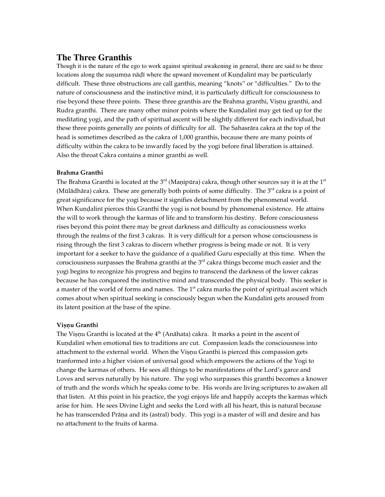## **The Three Granthis**

Though it is the nature of the ego to work against spiritual awakening in general, there are said to be three locations along the sușumna nāḍī where the upward movement of Kunḍalinī may be particularly difficult. These three obstructions are call ganthis, meaning "knots" or "difficulties." Do to the nature of consciousness and the instinctive mind, it is particularly difficult for consciousness to rise beyond these three points. These three granthis are the Brahma granthi, Vișnu granthi, and Rudra granthi. There are many other minor points where the Kundalini may get tied up for the meditating yogi, and the path of spiritual ascent will be slightly different for each individual, but these three points generally are points of difficulty for all. The Sahasrära cakra at the top of the head is sometimes described as the cakra of 1,000 granthis, because there are many points of difficulty within the cakra to be inwardly faced by the yogi before final liberation is attained. Also the throat Cakra contains a minor granthi as well.

### Brahma Granthi

The Brahma Granthi is located at the  $3<sup>rd</sup>$  (Maṇipūra) cakra, though other sources say it is at the  $1<sup>st</sup>$ (Mūlādhāra) cakra. These are generally both points of some difficulty. The  $3<sup>rd</sup>$  cakra is a point of great significance for the yogi because it signifies detachment from the phenomenal world. When Kundalini pierces this Granthi the yogi is not bound by phenomenal existence. He attains the will to work through the karmas of life and to transform his destiny. Before consciousness rises beyond this point there may be great darkness and difficulty as consciousness works through the realms of the first 3 cakras. It is very difficult for a person whose consciousness is rising through the first 3 cakras to discern whether progress is being made or not. It is very important for a seeker to have the guidance of a qualified Guru especially at this time. When the consciousness surpasses the Brahma granthi at the 3<sup>rd</sup> cakra things become much easier and the yogi begins to recognize his progress and begins to transcend the darkness of the lower cakras because he has conquored the instinctive mind and transcended the physical body. This seeker is a master of the world of forms and names. The 1<sup>st</sup> cakra marks the point of spiritual ascent which comes about when spiritual seeking is consciously begun when the Kundalini gets aroused from its latent position at the base of the spine.

### Visnu Granthi

The Vișņu Granthi is located at the  $4<sup>th</sup>$  (Anāhata) cakra. It marks a point in the ascent of Kundalinī when emotional ties to traditions are cut. Compassion leads the consciousness into attachment to the external world. When the Visnu Granthi is pierced this compassion gets tranformed into a higher vision of universal good which empowers the actions of the Yogi to change the karmas of others. He sees all things to be manifestations of the Lord's garce and Loves and serves naturally by his nature. The yogi who surpasses this granthi becomes a knower of truth and the words which he speaks come to be. His words are living scriptures to awaken all that listen. At this point in his practice, the yogi enjoys life and happily accepts the karmas which arise for him. He sees Divine Light and seeks the Lord with all his heart, this is natural because he has transcended Prāņa and its (astral) body. This yogi is a master of will and desire and has no attachment to the fruits of karma.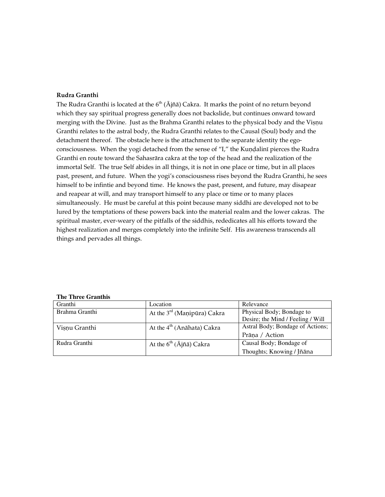### Rudra Granthi

The Rudra Granthi is located at the  $6<sup>th</sup>$  ( $\bar{A}$ jñā) Cakra. It marks the point of no return beyond which they say spiritual progress generally does not backslide, but continues onward toward merging with the Divine. Just as the Brahma Granthi relates to the physical body and the Visnu Granthi relates to the astral body, the Rudra Granthi relates to the Causal (Soul) body and the detachment thereof. The obstacle here is the attachment to the separate identity the egoconsciousness. When the yogi detached from the sense of "I," the Kundalini pierces the Rudra Granthi en route toward the Sahasrära cakra at the top of the head and the realization of the immortal Self. The true Self abides in all things, it is not in one place or time, but in all places past, present, and future. When the yogi's consciousness rises beyond the Rudra Granthi, he sees himself to be infintie and beyond time. He knows the past, present, and future, may disapear and reapear at will, and may transport himself to any place or time or to many places simultaneously. He must be careful at this point because many siddhi are developed not to be lured by the temptations of these powers back into the material realm and the lower cakras. The spiritual master, ever-weary of the pitfalls of the siddhis, rededicates all his efforts toward the highest realization and merges completely into the infinite Self. His awareness transcends all things and pervades all things.

| Granthi        | Location                                | Relevance                         |
|----------------|-----------------------------------------|-----------------------------------|
| Brahma Granthi | At the 3 <sup>rd</sup> (Manipūra) Cakra | Physical Body; Bondage to         |
|                |                                         | Desire; the Mind / Feeling / Will |
| Visnu Granthi  | At the 4 <sup>th</sup> (Anāhata) Cakra  | Astral Body; Bondage of Actions;  |
|                |                                         | Prāņa / Action                    |
| Rudra Granthi  | At the $6^{th}$ ( $\bar{A}$ jñā) Cakra  | Causal Body; Bondage of           |
|                |                                         | Thoughts; Knowing / Jñāna         |

#### **The Three Granthis**